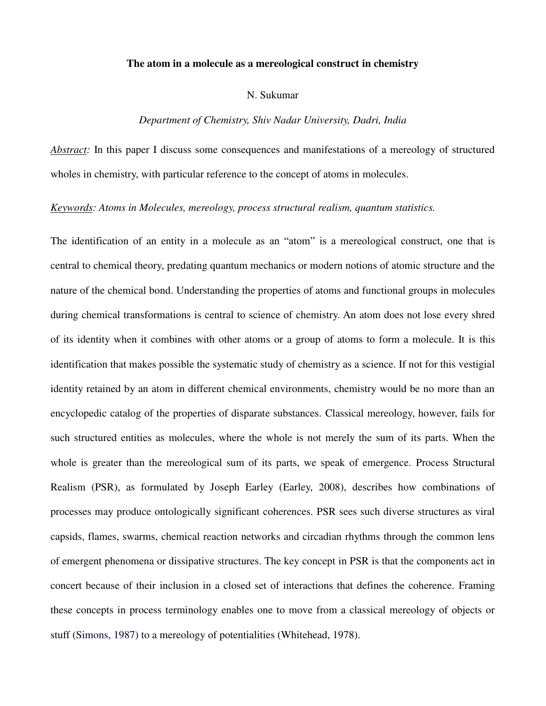#### **The atom in a molecule as a mereological construct in chemistry**

### N. Sukumar

#### *Department of Chemistry, Shiv Nadar University, Dadri, India*

*Abstract:* In this paper I discuss some consequences and manifestations of a mereology of structured wholes in chemistry, with particular reference to the concept of atoms in molecules.

## *Keywords: Atoms in Molecules, mereology, process structural realism, quantum statistics.*

The identification of an entity in a molecule as an "atom" is a mereological construct, one that is central to chemical theory, predating quantum mechanics or modern notions of atomic structure and the nature of the chemical bond. Understanding the properties of atoms and functional groups in molecules during chemical transformations is central to science of chemistry. An atom does not lose every shred of its identity when it combines with other atoms or a group of atoms to form a molecule. It is this identification that makes possible the systematic study of chemistry as a science. If not for this vestigial identity retained by an atom in different chemical environments, chemistry would be no more than an encyclopedic catalog of the properties of disparate substances. Classical mereology, however, fails for such structured entities as molecules, where the whole is not merely the sum of its parts. When the whole is greater than the mereological sum of its parts, we speak of emergence. Process Structural Realism (PSR), as formulated by Joseph Earley (Earley, 2008), describes how combinations of processes may produce ontologically significant coherences. PSR sees such diverse structures as viral capsids, flames, swarms, chemical reaction networks and circadian rhythms through the common lens of emergent phenomena or dissipative structures. The key concept in PSR is that the components act in concert because of their inclusion in a closed set of interactions that defines the coherence. Framing these concepts in process terminology enables one to move from a classical mereology of objects or stuff (Simons, 1987) to a mereology of potentialities (Whitehead, 1978).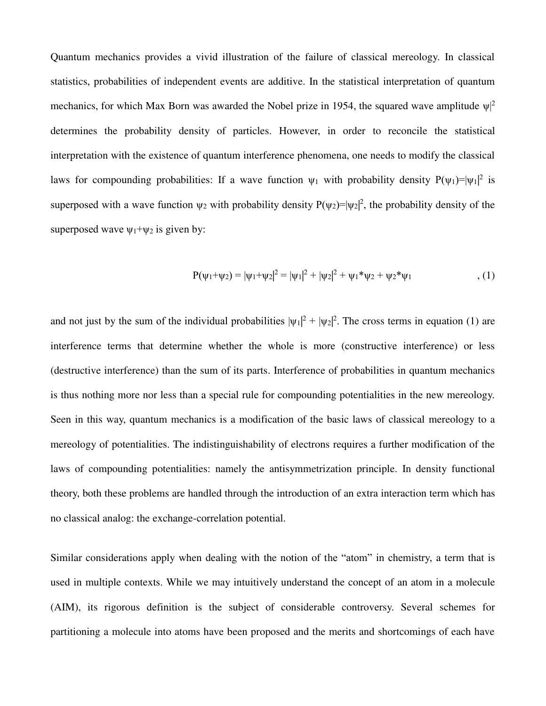Quantum mechanics provides a vivid illustration of the failure of classical mereology. In classical statistics, probabilities of independent events are additive. In the statistical interpretation of quantum mechanics, for which Max Born was awarded the Nobel prize in 1954, the squared wave amplitude  $\psi$ <sup>2</sup> determines the probability density of particles. However, in order to reconcile the statistical interpretation with the existence of quantum interference phenomena, one needs to modify the classical laws for compounding probabilities: If a wave function  $\psi_1$  with probability density  $P(\psi_1)=|\psi_1|^2$  is superposed with a wave function  $\psi_2$  with probability density  $P(\psi_2)=|\psi_2|^2$ , the probability density of the superposed wave  $\psi_1 + \psi_2$  is given by:

$$
P(\psi_1 + \psi_2) = |\psi_1 + \psi_2|^2 = |\psi_1|^2 + |\psi_2|^2 + \psi_1^* \psi_2 + \psi_2^* \psi_1, \qquad (1)
$$

and not just by the sum of the individual probabilities  $|\psi_1|^2 + |\psi_2|^2$ . The cross terms in equation (1) are interference terms that determine whether the whole is more (constructive interference) or less (destructive interference) than the sum of its parts. Interference of probabilities in quantum mechanics is thus nothing more nor less than a special rule for compounding potentialities in the new mereology. Seen in this way, quantum mechanics is a modification of the basic laws of classical mereology to a mereology of potentialities. The indistinguishability of electrons requires a further modification of the laws of compounding potentialities: namely the antisymmetrization principle. In density functional theory, both these problems are handled through the introduction of an extra interaction term which has no classical analog: the exchange-correlation potential.

Similar considerations apply when dealing with the notion of the "atom" in chemistry, a term that is used in multiple contexts. While we may intuitively understand the concept of an atom in a molecule (AIM), its rigorous definition is the subject of considerable controversy. Several schemes for partitioning a molecule into atoms have been proposed and the merits and shortcomings of each have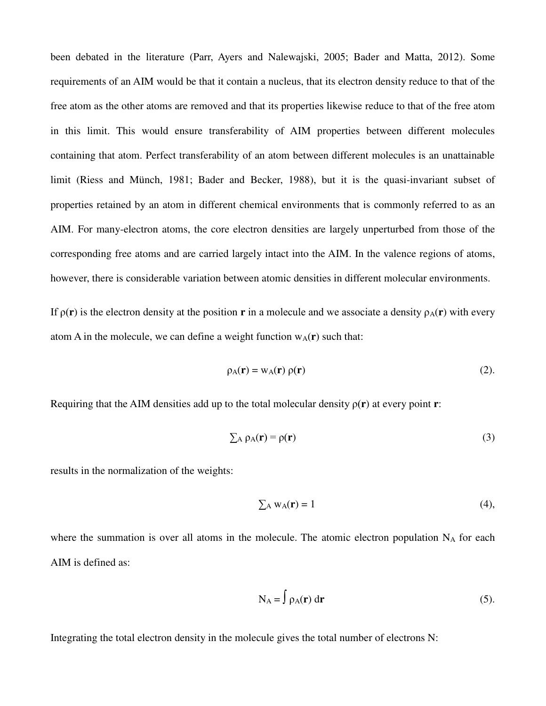been debated in the literature (Parr, Ayers and Nalewajski, 2005; Bader and Matta, 2012). Some requirements of an AIM would be that it contain a nucleus, that its electron density reduce to that of the free atom as the other atoms are removed and that its properties likewise reduce to that of the free atom in this limit. This would ensure transferability of AIM properties between different molecules containing that atom. Perfect transferability of an atom between different molecules is an unattainable limit (Riess and Münch, 1981; Bader and Becker, 1988), but it is the quasi-invariant subset of properties retained by an atom in different chemical environments that is commonly referred to as an AIM. For many-electron atoms, the core electron densities are largely unperturbed from those of the corresponding free atoms and are carried largely intact into the AIM. In the valence regions of atoms, however, there is considerable variation between atomic densities in different molecular environments.

If  $\rho(\mathbf{r})$  is the electron density at the position **r** in a molecule and we associate a density  $\rho_A(\mathbf{r})$  with every atom A in the molecule, we can define a weight function  $w_A(r)$  such that:

$$
\rho_A(\mathbf{r}) = w_A(\mathbf{r}) \rho(\mathbf{r}) \tag{2}.
$$

Requiring that the AIM densities add up to the total molecular density  $\rho(\mathbf{r})$  at every point **r**:

$$
\sum_{A} \rho_{A}(\mathbf{r}) = \rho(\mathbf{r})
$$
 (3)

results in the normalization of the weights:

$$
\sum_{A} w_{A}(\mathbf{r}) = 1 \tag{4},
$$

where the summation is over all atoms in the molecule. The atomic electron population  $N_A$  for each AIM is defined as:

$$
N_A = \int \rho_A(\mathbf{r}) \, d\mathbf{r}
$$
 (5).

Integrating the total electron density in the molecule gives the total number of electrons N: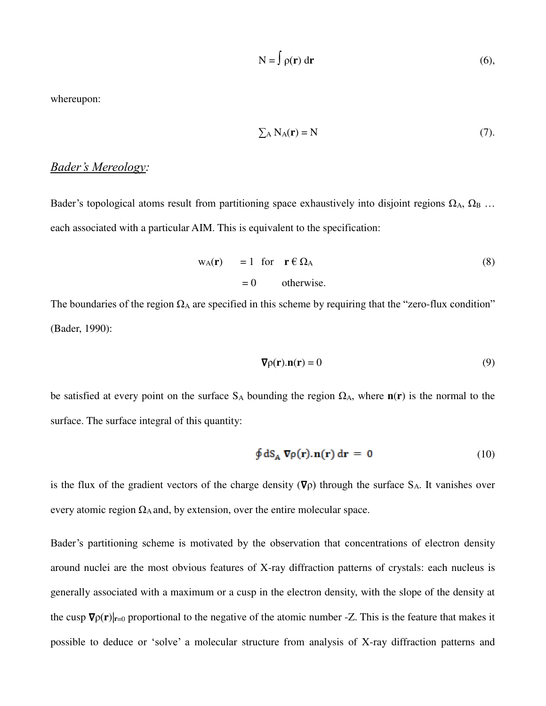$$
N = \int \rho(\mathbf{r}) d\mathbf{r}
$$
 (6),

whereupon:

$$
\sum_{A} N_{A}(\mathbf{r}) = N \tag{7}
$$

# *Bader's Mereology:*

Bader's topological atoms result from partitioning space exhaustively into disjoint regions  $\Omega_A$ ,  $\Omega_B$  ... each associated with a particular AIM. This is equivalent to the specification:

$$
w_A(\mathbf{r}) = 1 \text{ for } \mathbf{r} \in \Omega_A
$$
\n
$$
= 0 \qquad \text{otherwise.}
$$
\n(8)

The boundaries of the region  $\Omega_A$  are specified in this scheme by requiring that the "zero-flux condition" (Bader, 1990):

$$
\nabla \rho(\mathbf{r}).\mathbf{n}(\mathbf{r}) = 0 \tag{9}
$$

be satisfied at every point on the surface  $S_A$  bounding the region  $\Omega_A$ , where  $n(r)$  is the normal to the surface. The surface integral of this quantity:

$$
\oint dS_A \nabla \rho(\mathbf{r}). \mathbf{n}(\mathbf{r}) d\mathbf{r} = 0
$$
\n(10)

is the flux of the gradient vectors of the charge density  $(\nabla \rho)$  through the surface S<sub>A</sub>. It vanishes over every atomic region  $\Omega_A$  and, by extension, over the entire molecular space.

Bader's partitioning scheme is motivated by the observation that concentrations of electron density around nuclei are the most obvious features of X-ray diffraction patterns of crystals: each nucleus is generally associated with a maximum or a cusp in the electron density, with the slope of the density at the cusp  $\nabla \rho(\mathbf{r})|_{\mathbf{r}=0}$  proportional to the negative of the atomic number -Z. This is the feature that makes it possible to deduce or 'solve' a molecular structure from analysis of X-ray diffraction patterns and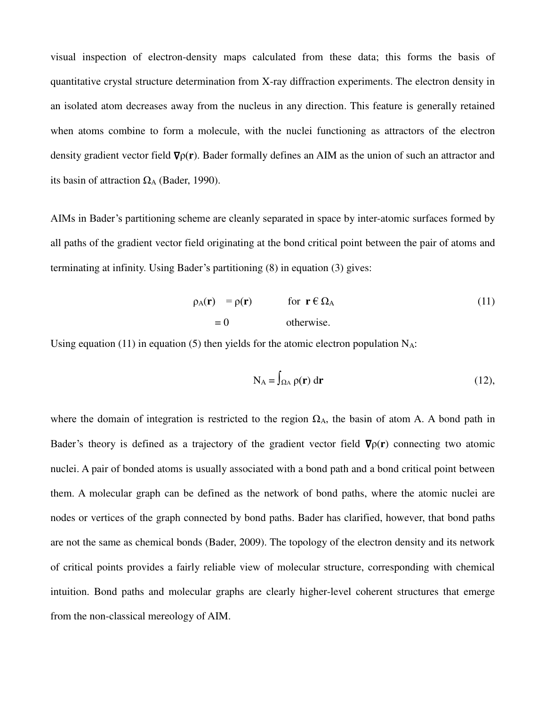visual inspection of electron-density maps calculated from these data; this forms the basis of quantitative crystal structure determination from X-ray diffraction experiments. The electron density in an isolated atom decreases away from the nucleus in any direction. This feature is generally retained when atoms combine to form a molecule, with the nuclei functioning as attractors of the electron density gradient vector field ∇ρ(**r**). Bader formally defines an AIM as the union of such an attractor and its basin of attraction  $\Omega_A$  (Bader, 1990).

AIMs in Bader's partitioning scheme are cleanly separated in space by inter-atomic surfaces formed by all paths of the gradient vector field originating at the bond critical point between the pair of atoms and terminating at infinity. Using Bader's partitioning (8) in equation (3) gives:

$$
\rho_A(\mathbf{r}) = \rho(\mathbf{r}) \quad \text{for } \mathbf{r} \in \Omega_A \tag{11}
$$
\n
$$
= 0 \quad \text{otherwise.}
$$

Using equation (11) in equation (5) then yields for the atomic electron population  $N_A$ :

$$
N_A = \int_{\Omega A} \rho(\mathbf{r}) d\mathbf{r}
$$
 (12),

where the domain of integration is restricted to the region  $\Omega_A$ , the basin of atom A. A bond path in Bader's theory is defined as a trajectory of the gradient vector field ∇ρ(**r**) connecting two atomic nuclei. A pair of bonded atoms is usually associated with a bond path and a bond critical point between them. A molecular graph can be defined as the network of bond paths, where the atomic nuclei are nodes or vertices of the graph connected by bond paths. Bader has clarified, however, that bond paths are not the same as chemical bonds (Bader, 2009). The topology of the electron density and its network of critical points provides a fairly reliable view of molecular structure, corresponding with chemical intuition. Bond paths and molecular graphs are clearly higher-level coherent structures that emerge from the non-classical mereology of AIM.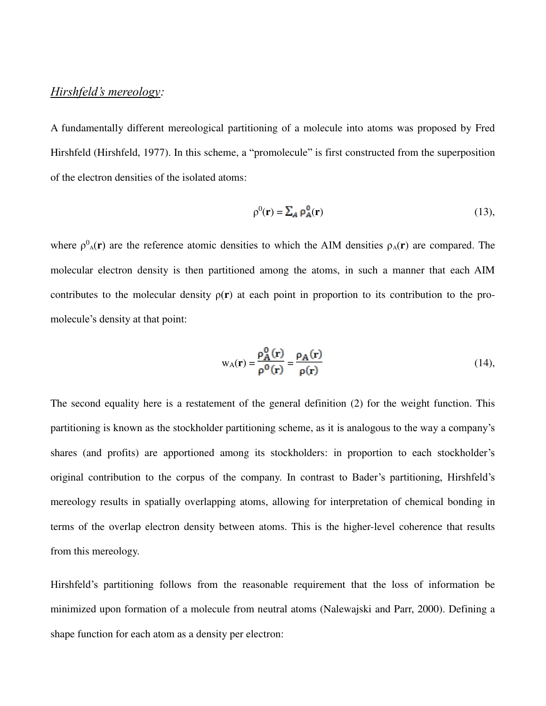# *Hirshfeld's mereology:*

A fundamentally different mereological partitioning of a molecule into atoms was proposed by Fred Hirshfeld (Hirshfeld, 1977). In this scheme, a "promolecule" is first constructed from the superposition of the electron densities of the isolated atoms:

$$
\rho^0(\mathbf{r}) = \sum_A \rho_A^0(\mathbf{r})
$$
\n(13),

where  $\rho^0{}_A(\mathbf{r})$  are the reference atomic densities to which the AIM densities  $\rho_A(\mathbf{r})$  are compared. The molecular electron density is then partitioned among the atoms, in such a manner that each AIM contributes to the molecular density ρ(**r**) at each point in proportion to its contribution to the promolecule's density at that point:

$$
w_A(\mathbf{r}) = \frac{\rho_A^0(\mathbf{r})}{\rho^0(\mathbf{r})} = \frac{\rho_A(\mathbf{r})}{\rho(\mathbf{r})}
$$
(14),

The second equality here is a restatement of the general definition (2) for the weight function. This partitioning is known as the stockholder partitioning scheme, as it is analogous to the way a company's shares (and profits) are apportioned among its stockholders: in proportion to each stockholder's original contribution to the corpus of the company. In contrast to Bader's partitioning, Hirshfeld's mereology results in spatially overlapping atoms, allowing for interpretation of chemical bonding in terms of the overlap electron density between atoms. This is the higher-level coherence that results from this mereology.

Hirshfeld's partitioning follows from the reasonable requirement that the loss of information be minimized upon formation of a molecule from neutral atoms (Nalewajski and Parr, 2000). Defining a shape function for each atom as a density per electron: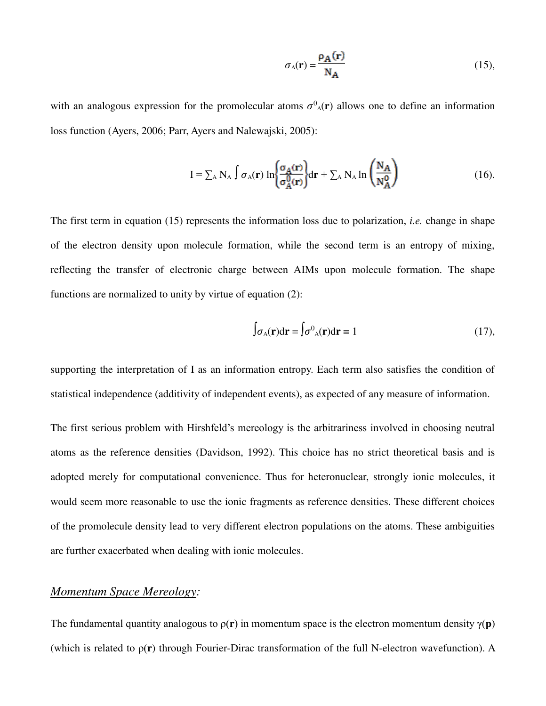$$
\sigma_{A}(\mathbf{r}) = \frac{\rho_{A}(\mathbf{r})}{N_{A}} \tag{15}
$$

with an analogous expression for the promolecular atoms  $\sigma^0$ <sub>A</sub>(**r**) allows one to define an information loss function (Ayers, 2006; Parr, Ayers and Nalewajski, 2005):

$$
I = \sum_{A} N_A \int \sigma_A(\mathbf{r}) \ln \left\{ \frac{\sigma_A(\mathbf{r})}{\sigma_A^0(\mathbf{r})} \right\} d\mathbf{r} + \sum_{A} N_A \ln \left( \frac{N_A}{N_A^0} \right) \tag{16}
$$

The first term in equation (15) represents the information loss due to polarization, *i.e.* change in shape of the electron density upon molecule formation, while the second term is an entropy of mixing, reflecting the transfer of electronic charge between AIMs upon molecule formation. The shape functions are normalized to unity by virtue of equation (2):

$$
\int \sigma_{A}(\mathbf{r}) d\mathbf{r} = \int \sigma^{0}{}_{A}(\mathbf{r}) d\mathbf{r} = 1
$$
 (17),

supporting the interpretation of I as an information entropy. Each term also satisfies the condition of statistical independence (additivity of independent events), as expected of any measure of information.

The first serious problem with Hirshfeld's mereology is the arbitrariness involved in choosing neutral atoms as the reference densities (Davidson, 1992). This choice has no strict theoretical basis and is adopted merely for computational convenience. Thus for heteronuclear, strongly ionic molecules, it would seem more reasonable to use the ionic fragments as reference densities. These different choices of the promolecule density lead to very different electron populations on the atoms. These ambiguities are further exacerbated when dealing with ionic molecules.

# *Momentum Space Mereology:*

The fundamental quantity analogous to  $p(r)$  in momentum space is the electron momentum density  $\gamma(p)$ (which is related to ρ(**r**) through Fourier-Dirac transformation of the full N-electron wavefunction). A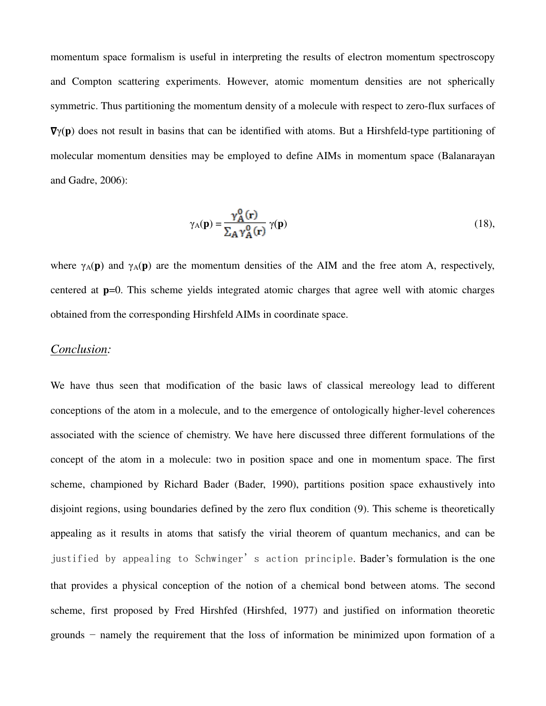momentum space formalism is useful in interpreting the results of electron momentum spectroscopy and Compton scattering experiments. However, atomic momentum densities are not spherically symmetric. Thus partitioning the momentum density of a molecule with respect to zero-flux surfaces of ∇γ(**p**) does not result in basins that can be identified with atoms. But a Hirshfeld-type partitioning of molecular momentum densities may be employed to define AIMs in momentum space (Balanarayan and Gadre, 2006):

$$
\gamma_{A}(\mathbf{p}) = \frac{\gamma_{A}^{0}(\mathbf{r})}{\sum_{A} \gamma_{A}^{0}(\mathbf{r})} \gamma(\mathbf{p})
$$
(18),

where  $\gamma_A(\mathbf{p})$  and  $\gamma_A(\mathbf{p})$  are the momentum densities of the AIM and the free atom A, respectively, centered at **p**=0. This scheme yields integrated atomic charges that agree well with atomic charges obtained from the corresponding Hirshfeld AIMs in coordinate space.

## *Conclusion:*

We have thus seen that modification of the basic laws of classical mereology lead to different conceptions of the atom in a molecule, and to the emergence of ontologically higher-level coherences associated with the science of chemistry. We have here discussed three different formulations of the concept of the atom in a molecule: two in position space and one in momentum space. The first scheme, championed by Richard Bader (Bader, 1990), partitions position space exhaustively into disjoint regions, using boundaries defined by the zero flux condition (9). This scheme is theoretically appealing as it results in atoms that satisfy the virial theorem of quantum mechanics, and can be justified by appealing to Schwinger's action principle. Bader's formulation is the one that provides a physical conception of the notion of a chemical bond between atoms. The second scheme, first proposed by Fred Hirshfed (Hirshfed, 1977) and justified on information theoretic grounds − namely the requirement that the loss of information be minimized upon formation of a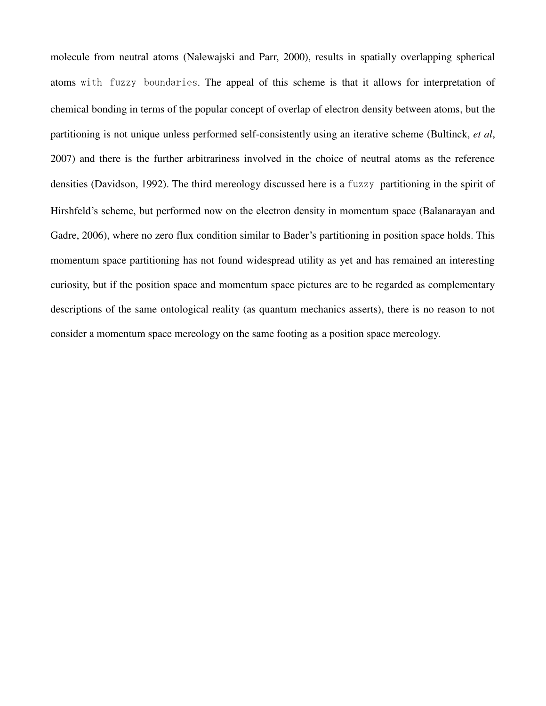molecule from neutral atoms (Nalewajski and Parr, 2000), results in spatially overlapping spherical atoms with fuzzy boundaries. The appeal of this scheme is that it allows for interpretation of chemical bonding in terms of the popular concept of overlap of electron density between atoms, but the partitioning is not unique unless performed self-consistently using an iterative scheme (Bultinck, *et al*, 2007) and there is the further arbitrariness involved in the choice of neutral atoms as the reference densities (Davidson, 1992). The third mereology discussed here is a fuzzy partitioning in the spirit of Hirshfeld's scheme, but performed now on the electron density in momentum space (Balanarayan and Gadre, 2006), where no zero flux condition similar to Bader's partitioning in position space holds. This momentum space partitioning has not found widespread utility as yet and has remained an interesting curiosity, but if the position space and momentum space pictures are to be regarded as complementary descriptions of the same ontological reality (as quantum mechanics asserts), there is no reason to not consider a momentum space mereology on the same footing as a position space mereology.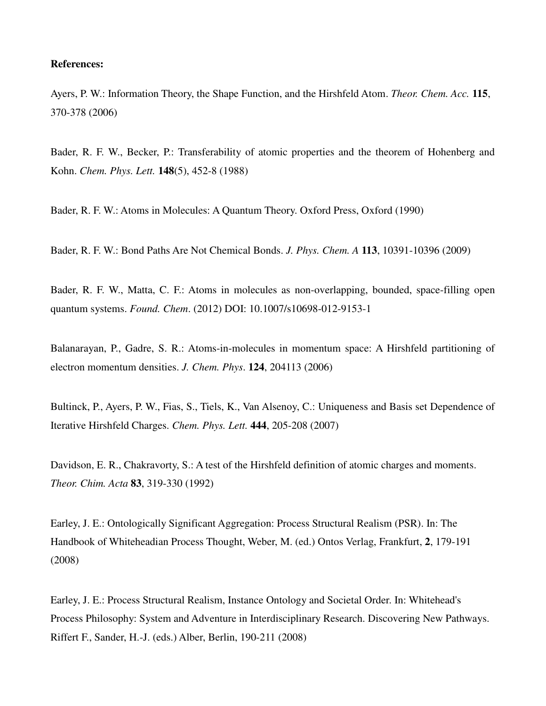## **References:**

Ayers, P. W.: Information Theory, the Shape Function, and the Hirshfeld Atom. *Theor. Chem. Acc.* **115**, 370-378 (2006)

Bader, R. F. W., Becker, P.: Transferability of atomic properties and the theorem of Hohenberg and Kohn. *Chem. Phys. Lett.* **148**(5), 452-8 (1988)

Bader, R. F. W.: Atoms in Molecules: A Quantum Theory. Oxford Press, Oxford (1990)

Bader, R. F. W.: Bond Paths Are Not Chemical Bonds. *J. Phys. Chem. A* **113**, 10391-10396 (2009)

Bader, R. F. W., Matta, C. F.: Atoms in molecules as non-overlapping, bounded, space-filling open quantum systems. *Found. Chem*. (2012) DOI: 10.1007/s10698-012-9153-1

Balanarayan, P., Gadre, S. R.: Atoms-in-molecules in momentum space: A Hirshfeld partitioning of electron momentum densities. *J. Chem. Phys*. **124**, 204113 (2006)

Bultinck, P., Ayers, P. W., Fias, S., Tiels, K., Van Alsenoy, C.: Uniqueness and Basis set Dependence of Iterative Hirshfeld Charges. *Chem. Phys. Lett.* **444**, 205-208 (2007)

Davidson, E. R., Chakravorty, S.: A test of the Hirshfeld definition of atomic charges and moments. *Theor. Chim. Acta* **83**, 319-330 (1992)

Earley, J. E.: Ontologically Significant Aggregation: Process Structural Realism (PSR). In: The Handbook of Whiteheadian Process Thought, Weber, M. (ed.) Ontos Verlag, Frankfurt, **2**, 179-191 (2008)

Earley, J. E.: Process Structural Realism, Instance Ontology and Societal Order. In: Whitehead's Process Philosophy: System and Adventure in Interdisciplinary Research. Discovering New Pathways. Riffert F., Sander, H.-J. (eds.) Alber, Berlin, 190-211 (2008)